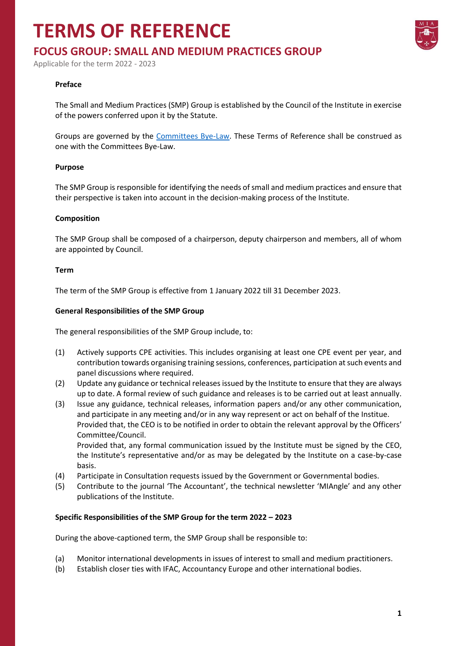## **TERMS OF REFERENCE**



Applicable for the term 2022 - 2023

#### **Preface**

The Small and Medium Practices (SMP) Group is established by the Council of the Institute in exercise of the powers conferred upon it by the Statute.

Groups are governed by the [Committees Bye-Law.](https://www.miamalta.org/Statute-and-Bye-Laws) These Terms of Reference shall be construed as one with the Committees Bye-Law.

#### **Purpose**

The SMP Group is responsible for identifying the needs of small and medium practices and ensure that their perspective is taken into account in the decision-making process of the Institute.

#### **Composition**

The SMP Group shall be composed of a chairperson, deputy chairperson and members, all of whom are appointed by Council.

#### **Term**

The term of the SMP Group is effective from 1 January 2022 till 31 December 2023.

#### **General Responsibilities of the SMP Group**

The general responsibilities of the SMP Group include, to:

- (1) Actively supports CPE activities. This includes organising at least one CPE event per year, and contribution towards organising training sessions, conferences, participation at such events and panel discussions where required.
- (2) Update any guidance or technical releases issued by the Institute to ensure that they are always up to date. A formal review of such guidance and releases is to be carried out at least annually.
- (3) Issue any guidance, technical releases, information papers and/or any other communication, and participate in any meeting and/or in any way represent or act on behalf of the Institue. Provided that, the CEO is to be notified in order to obtain the relevant approval by the Officers' Committee/Council.

Provided that, any formal communication issued by the Institute must be signed by the CEO, the Institute's representative and/or as may be delegated by the Institute on a case-by-case basis.

- (4) Participate in Consultation requests issued by the Government or Governmental bodies.
- (5) Contribute to the journal 'The Accountant', the technical newsletter 'MIAngle' and any other publications of the Institute.

#### **Specific Responsibilities of the SMP Group for the term 2022 – 2023**

During the above-captioned term, the SMP Group shall be responsible to:

- (a) Monitor international developments in issues of interest to small and medium practitioners.
- (b) Establish closer ties with IFAC, Accountancy Europe and other international bodies.